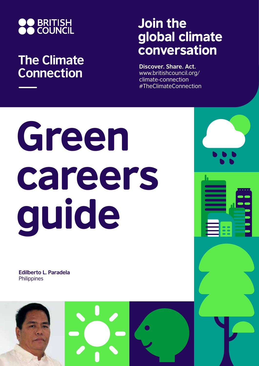

## **The Climate Connection**

## Join the global climate conversation

**Discover. Share. Act.** www.britishcouncil.org/ climate-connection #TheClimateConnection

# Green careers guide

**Edilberto L. Paradela Philippines** 

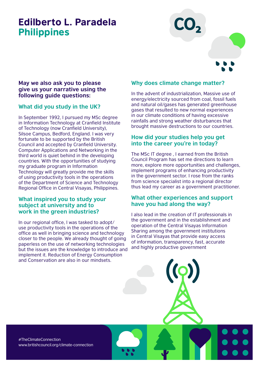### Edilberto L. Paradela Philippines



#### **May we also ask you to please give us your narrative using the following guide questions:**

#### **What did you study in the UK?**

In September 1992, I pursued my MSc degree in Information Technology at Cranfield Institute of Technology (now Cranfield University), Silsoe Campus, Bedford, England. I was very fortunate to be supported by the British Council and accepted by Cranfield University. Computer Applications and Networking in the third world is quiet behind in the developing countries. With the opportunities of studying my graduate program in Information Technology will greatly provide me the skills of using productivity tools in the operations of the Department of Science and Technology Regional Office in Central Visayas, Philippines.

#### **What inspired you to study your subject at university and to work in the green industries?**

In our regional office, I was tasked to adopt/ use productivity tools in the operations of the office as well in bringing science and technology closer to the people. We already thought of going paperless on the use of networking technologies but the issues are the knowledge to introduce and implement it. Reduction of Energy Consumption and Conservation are also in our mindsets.

#### **Why does climate change matter?**

In the advent of industrialization, Massive use of energy/electricity sourced from coal, fossil fuels and natural oil/gases has generated greenhouse gases that resulted to new normal experiences in our climate conditions of having excessive rainfalls and strong weather disturbances that brought massive destructions to our countries.

#### **How did your studies help you get into the career you're in today?**

The MSc IT degree , I earned from the British Council Program has set me directions to learn more, explore more opportunities and challenges, implement programs of enhancing productivity in the government sector. I rose from the ranks from science specialist into a regional director thus lead my career as a government practitioner.

#### **What other experiences and support have you had along the way?**

I also lead in the creation of IT professionals in the government and in the establishment and operation of the Central Visayas Information Sharing among the government institutions in Central Visayas that provide easy access of information, transparency, fast, accurate and highly productive government

#TheClimateConnection www.britishcouncil.org/climate-connection